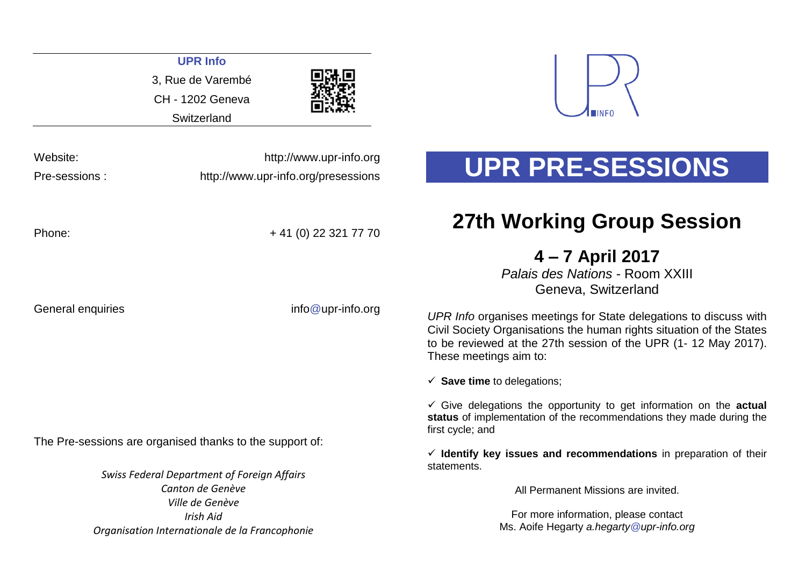|                                                                    | <b>UPR Info</b><br>3, Rue de Varembé<br><b>CH - 1202 Geneva</b><br>Switzerland |                                                                                                                                                                                                                                       |  |
|--------------------------------------------------------------------|--------------------------------------------------------------------------------|---------------------------------------------------------------------------------------------------------------------------------------------------------------------------------------------------------------------------------------|--|
| Website:<br>Pre-sessions:                                          | http://www.upr-info.org<br>http://www.upr-info.org/presessions                 | UPR PRE-SESSIONS                                                                                                                                                                                                                      |  |
| Phone:                                                             | + 41 (0) 22 321 77 70                                                          | <b>27th Working Group Session</b>                                                                                                                                                                                                     |  |
|                                                                    |                                                                                | 4 – 7 April 2017<br>Palais des Nations - Room XXIII<br>Geneva, Switzerland                                                                                                                                                            |  |
| General enquiries                                                  | $info@upr\text{-}info.org$                                                     | UPR Info organises meetings for State delegations to discuss with<br>Civil Society Organisations the human rights situation of the States<br>to be reviewed at the 27th session of the UPR (1-12 May 2017).<br>These meetings aim to: |  |
|                                                                    |                                                                                | $\checkmark$ Save time to delegations;                                                                                                                                                                                                |  |
|                                                                    |                                                                                | $\checkmark$ Give delegations the opportunity to get information on the actual<br>status of implementation of the recommendations they made during the<br>first cycle; and                                                            |  |
|                                                                    | The Pre-sessions are organised thanks to the support of:                       | $\checkmark$ Identify key issues and recommendations in preparation of their                                                                                                                                                          |  |
|                                                                    | <b>Swiss Federal Department of Foreign Affairs</b>                             | statements.                                                                                                                                                                                                                           |  |
|                                                                    | Canton de Genève<br>Ville de Genève                                            | All Permanent Missions are invited.                                                                                                                                                                                                   |  |
| <b>Irish Aid</b><br>Organisation Internationale de la Francophonie |                                                                                | For more information, please contact<br>Ms. Aoife Hegarty a.hegarty @upr-info.org                                                                                                                                                     |  |